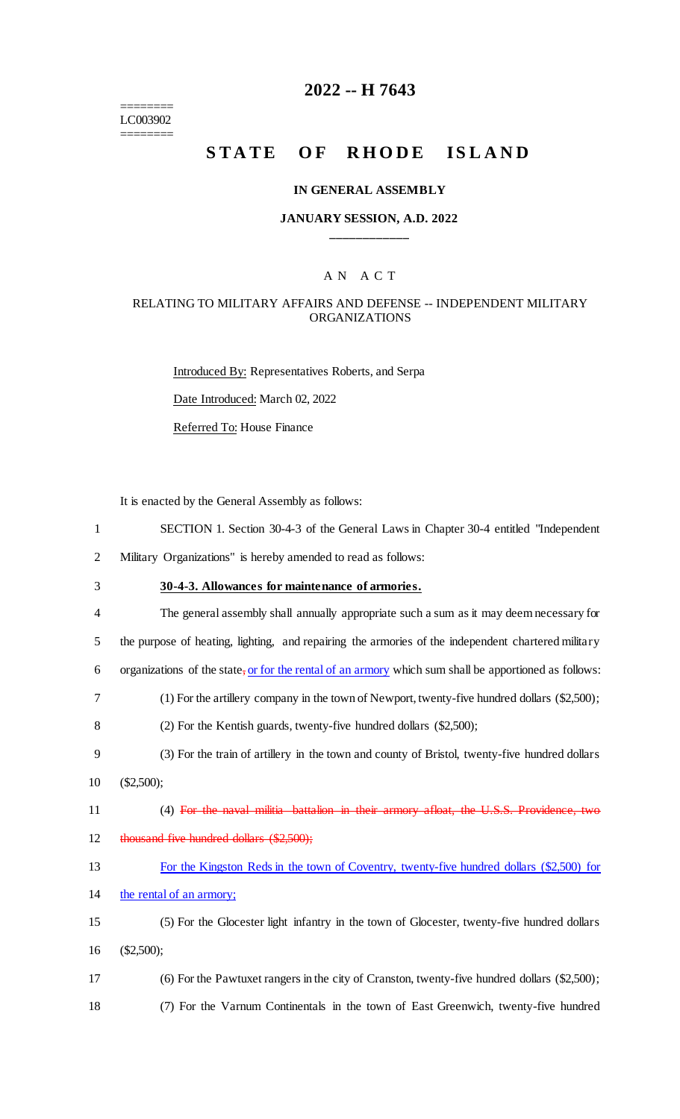======== LC003902 ========

# **2022 -- H 7643**

# STATE OF RHODE ISLAND

### **IN GENERAL ASSEMBLY**

### **JANUARY SESSION, A.D. 2022 \_\_\_\_\_\_\_\_\_\_\_\_**

## A N A C T

### RELATING TO MILITARY AFFAIRS AND DEFENSE -- INDEPENDENT MILITARY ORGANIZATIONS

Introduced By: Representatives Roberts, and Serpa Date Introduced: March 02, 2022 Referred To: House Finance

It is enacted by the General Assembly as follows:

| $\mathbf{1}$   | SECTION 1. Section 30-4-3 of the General Laws in Chapter 30-4 entitled "Independent"                  |
|----------------|-------------------------------------------------------------------------------------------------------|
| $\overline{2}$ | Military Organizations" is hereby amended to read as follows:                                         |
| 3              | 30-4-3. Allowances for maintenance of armories.                                                       |
| 4              | The general assembly shall annually appropriate such a sum as it may deem necessary for               |
| 5              | the purpose of heating, lighting, and repairing the armories of the independent chartered military    |
| 6              | organizations of the state, or for the rental of an armory which sum shall be apportioned as follows: |
| 7              | $(1)$ For the artillery company in the town of Newport, twenty-five hundred dollars $(\$2,500)$ ;     |
| 8              | (2) For the Kentish guards, twenty-five hundred dollars (\$2,500);                                    |
| 9              | (3) For the train of artillery in the town and county of Bristol, twenty-five hundred dollars         |
| 10             | $(\$2,500);$                                                                                          |
| 11             | (4) For the naval militia battalion in their armory afloat, the U.S.S. Providence, two                |
| 12             | thousand five hundred dollars (\$2,500);                                                              |
| 13             | For the Kingston Reds in the town of Coventry, twenty-five hundred dollars (\$2,500) for              |
| 14             | the rental of an armory;                                                                              |
| 15             | (5) For the Glocester light infantry in the town of Glocester, twenty-five hundred dollars            |
| 16             | $(\$2,500);$                                                                                          |
| 17             | (6) For the Pawtuxet rangers in the city of Cranston, twenty-five hundred dollars (\$2,500);          |
| 18             | (7) For the Varnum Continentals in the town of East Greenwich, twenty-five hundred                    |
|                |                                                                                                       |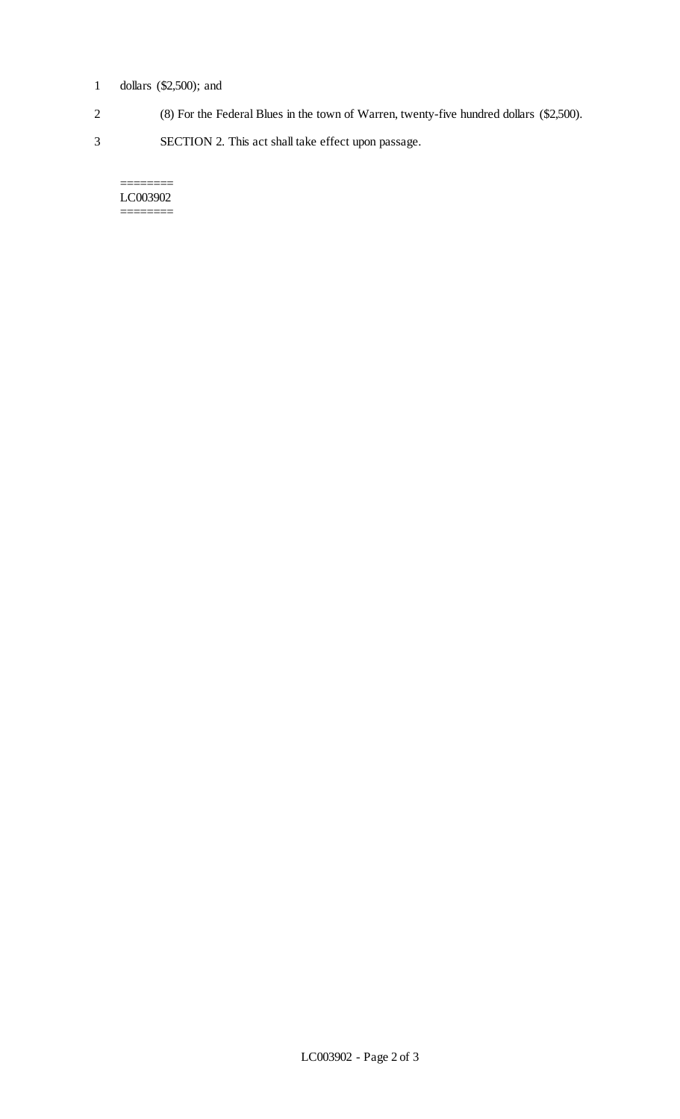# 1 dollars (\$2,500); and

- 2 (8) For the Federal Blues in the town of Warren, twenty-five hundred dollars (\$2,500).
- 3 SECTION 2. This act shall take effect upon passage.

#### LC003902  $=$

 $=$